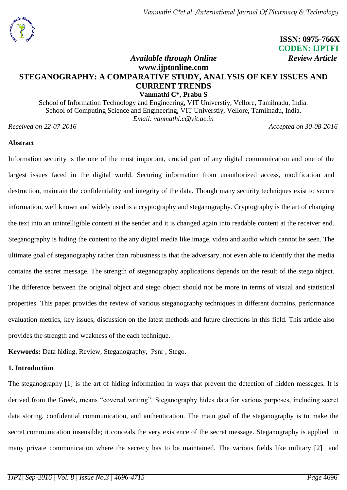# **ISSN: 0975-766X CODEN: IJPTFI** *Available through Online* Review *Article*

# **www.ijptonline.com STEGANOGRAPHY: A COMPARATIVE STUDY, ANALYSIS OF KEY ISSUES AND CURRENT TRENDS Vanmathi C\*, Prabu S**

School of Information Technology and Engineering, VIT Universtiy, Vellore, Tamilnadu, India. School of Computing Science and Engineering, VIT Universtiy, Vellore, Tamilnadu, India. *Email: vanmathi.c@vit.ac.in*

*Received on 22-07-2016 Accepted on 30-08-2016*

## **Abstract**

Information security is the one of the most important, crucial part of any digital communication and one of the largest issues faced in the digital world. Securing information from unauthorized access, modification and destruction, maintain the confidentiality and integrity of the data. Though many security techniques exist to secure information, well known and widely used is a cryptography and steganography. Cryptography is the art of changing the text into an unintelligible content at the sender and it is changed again into readable content at the receiver end. Steganography is hiding the content to the any digital media like image, video and audio which cannot be seen. The ultimate goal of steganography rather than robustness is that the adversary, not even able to identify that the media contains the secret message. The strength of steganography applications depends on the result of the stego object. The difference between the original object and stego object should not be more in terms of visual and statistical properties. This paper provides the review of various steganography techniques in different domains, performance evaluation metrics, key issues, discussion on the latest methods and future directions in this field. This article also provides the strength and weakness of the each technique.

**Keywords:** Data hiding, Review, Steganography, Psnr , Stego.

## **1. Introduction**

The steganography [1] is the art of hiding information in ways that prevent the detection of hidden messages. It is derived from the Greek, means "covered writing". Steganography hides data for various purposes, including secret data storing, confidential communication, and authentication. The main goal of the steganography is to make the secret communication insensible; it conceals the very existence of the secret message. Steganography is applied in many private communication where the secrecy has to be maintained. The various fields like military [2] and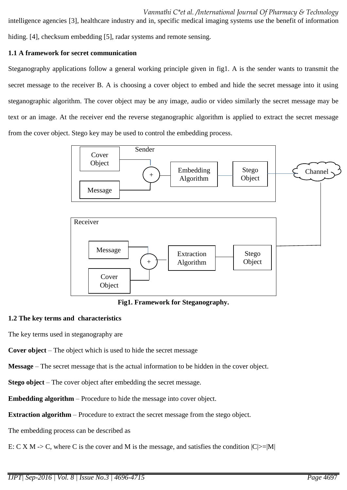intelligence agencies [3], healthcare industry and in, specific medical imaging systems use the benefit of information hiding. [4], checksum embedding [5], radar systems and remote sensing.

## **1.1 A framework for secret communication**

Steganography applications follow a general working principle given in fig1. A is the sender wants to transmit the secret message to the receiver B. A is choosing a cover object to embed and hide the secret message into it using steganographic algorithm. The cover object may be any image, audio or video similarly the secret message may be text or an image. At the receiver end the reverse steganographic algorithm is applied to extract the secret message from the cover object. Stego key may be used to control the embedding process.



**Fig1. Framework for Steganography.**

## **1.2 The key terms and characteristics**

The key terms used in steganography are

**Cover object** – The object which is used to hide the secret message

**Message** – The secret message that is the actual information to be hidden in the cover object.

**Stego object** – The cover object after embedding the secret message.

**Embedding algorithm** – Procedure to hide the message into cover object.

**Extraction algorithm** – Procedure to extract the secret message from the stego object.

The embedding process can be described as

E: C X M -> C, where C is the cover and M is the message, and satisfies the condition  $|C|>=|M|$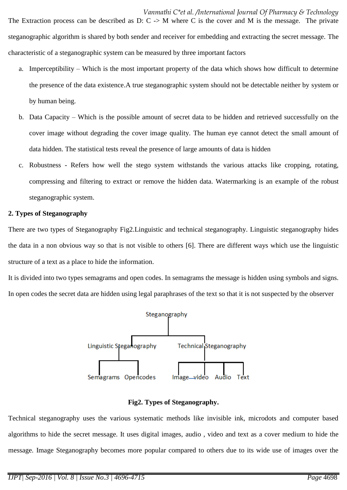The Extraction process can be described as  $D: C \rightarrow M$  where C is the cover and M is the message. The private steganographic algorithm is shared by both sender and receiver for embedding and extracting the secret message. The characteristic of a steganographic system can be measured by three important factors

- a. Imperceptibility Which is the most important property of the data which shows how difficult to determine the presence of the data existence.A true steganographic system should not be detectable neither by system or by human being.
- b. Data Capacity Which is the possible amount of secret data to be hidden and retrieved successfully on the cover image without degrading the cover image quality. The human eye cannot detect the small amount of data hidden. The statistical tests reveal the presence of large amounts of data is hidden
- c. Robustness Refers how well the stego system withstands the various attacks like cropping, rotating, compressing and filtering to extract or remove the hidden data. Watermarking is an example of the robust steganographic system.

## **2. Types of Steganography**

There are two types of Steganography Fig2.Linguistic and technical steganography. Linguistic steganography hides the data in a non obvious way so that is not visible to others [6]. There are different ways which use the linguistic structure of a text as a place to hide the information.

It is divided into two types semagrams and open codes. In semagrams the message is hidden using symbols and signs. In open codes the secret data are hidden using legal paraphrases of the text so that it is not suspected by the observer



#### **Fig2. Types of Steganography.**

Technical steganography uses the various systematic methods like invisible ink, microdots and computer based algorithms to hide the secret message. It uses digital images, audio , video and text as a cover medium to hide the message. Image Steganography becomes more popular compared to others due to its wide use of images over the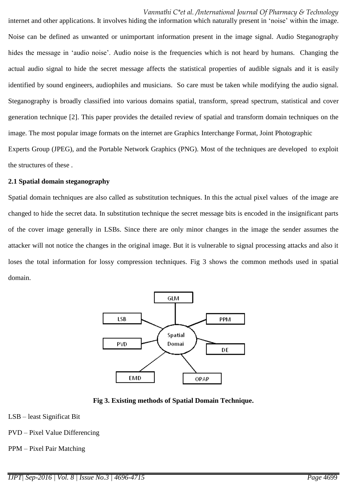internet and other applications. It involves hiding the information which naturally present in 'noise' within the image. Noise can be defined as unwanted or unimportant information present in the image signal. Audio Steganography hides the message in 'audio noise'. Audio noise is the frequencies which is not heard by humans. Changing the actual audio signal to hide the secret message affects the statistical properties of audible signals and it is easily identified by sound engineers, audiophiles and musicians. So care must be taken while modifying the audio signal. Steganography is broadly classified into various domains spatial, transform, spread spectrum, statistical and cover generation technique [2]. This paper provides the detailed review of spatial and transform domain techniques on the image. The most popular image formats on the internet are Graphics Interchange Format, Joint Photographic Experts Group (JPEG), and the Portable Network Graphics (PNG). Most of the techniques are developed to exploit the structures of these .

### **2.1 Spatial domain steganography**

Spatial domain techniques are also called as substitution techniques. In this the actual pixel values of the image are changed to hide the secret data. In substitution technique the secret message bits is encoded in the insignificant parts of the cover image generally in LSBs. Since there are only minor changes in the image the sender assumes the attacker will not notice the changes in the original image. But it is vulnerable to signal processing attacks and also it loses the total information for lossy compression techniques. Fig 3 shows the common methods used in spatial domain.



**Fig 3. Existing methods of Spatial Domain Technique.**

- LSB least Significat Bit
- PVD Pixel Value Differencing
- PPM Pixel Pair Matching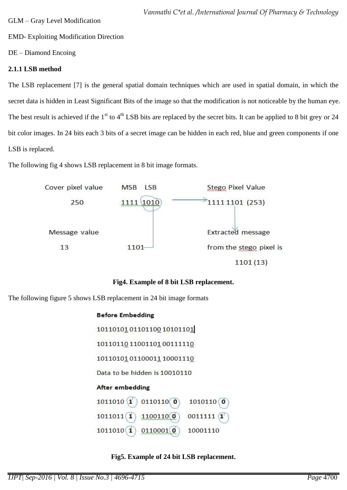EMD- Exploiting Modification Direction

DE – Diamond Encoing

## **2.1.1 LSB method**

The LSB replacement [7] is the general spatial domain techniques which are used in spatial domain, in which the secret data is hidden in Least Significant Bits of the image so that the modification is not noticeable by the human eye. The best result is achieved if the  $1<sup>st</sup>$  to  $4<sup>th</sup>$  LSB bits are replaced by the secret bits. It can be applied to 8 bit grey or 24 bit color images. In 24 bits each 3 bits of a secret image can be hidden in each red, blue and green components if one LSB is replaced.

The following fig 4 shows LSB replacement in 8 bit image formats.



# **Fig4. Example of 8 bit LSB replacement.**

The following figure 5 shows LSB replacement in 24 bit image formats

## **Before Embedding**

101101010110110010101101 101101101100110100111110 1011010101110001110001110 Data to be hidden is 10010110 **After embedding**  $1011010 (1)$  $0110110()$  $1010110()$  $1011011(1)$  $1100110$  $0011111$   $($ 1  $1011010$   $(1)$  $0110001$  0 10001110

## **Fig5. Example of 24 bit LSB replacement.**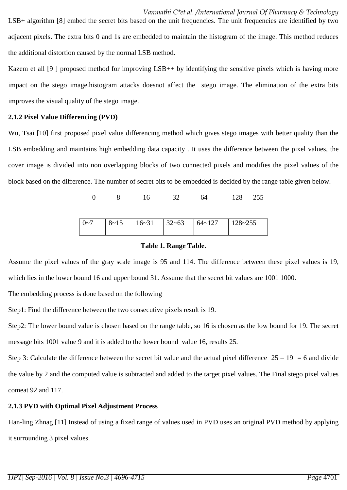adjacent pixels. The extra bits 0 and 1s are embedded to maintain the histogram of the image. This method reduces the additional distortion caused by the normal LSB method.

Kazem et all [9 ] proposed method for improving LSB++ by identifying the sensitive pixels which is having more impact on the stego image.histogram attacks doesnot affect the stego image. The elimination of the extra bits improves the visual quality of the stego image.

## **2.1.2 Pixel Value Differencing (PVD)**

Wu, Tsai [10] first proposed pixel value differencing method which gives stego images with better quality than the LSB embedding and maintains high embedding data capacity . It uses the difference between the pixel values, the cover image is divided into non overlapping blocks of two connected pixels and modifies the pixel values of the block based on the difference. The number of secret bits to be embedded is decided by the range table given below.

0 8 16 32 64 128 255

| $8 - 15$<br>$16-31$ $32-63$ $64-127$<br>$0 - 7$ | $128 - 255$ |
|-------------------------------------------------|-------------|
|-------------------------------------------------|-------------|

## **Table 1. Range Table.**

Assume the pixel values of the gray scale image is 95 and 114. The difference between these pixel values is 19, which lies in the lower bound 16 and upper bound 31. Assume that the secret bit values are 1001 1000.

The embedding process is done based on the following

Step1: Find the difference between the two consecutive pixels result is 19.

Step2: The lower bound value is chosen based on the range table, so 16 is chosen as the low bound for 19. The secret message bits 1001 value 9 and it is added to the lower bound value 16, results 25.

Step 3: Calculate the difference between the secret bit value and the actual pixel difference  $25 - 19 = 6$  and divide the value by 2 and the computed value is subtracted and added to the target pixel values. The Final stego pixel values comeat 92 and 117.

# **2.1.3 PVD with Optimal Pixel Adjustment Process**

Han-ling Zhnag [11] Instead of using a fixed range of values used in PVD uses an original PVD method by applying it surrounding 3 pixel values.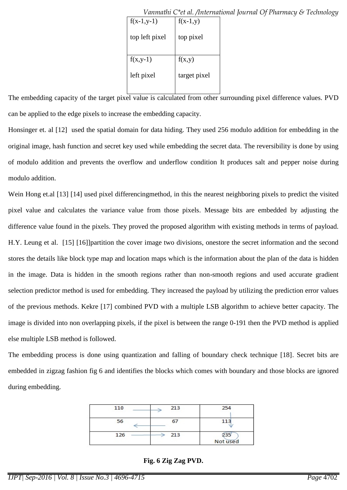| $f(x-1,y-1)$   | $f(x-1,y)$   |
|----------------|--------------|
| top left pixel | top pixel    |
|                |              |
| $f(x,y-1)$     | f(x,y)       |
| left pixel     | target pixel |
|                |              |

 *Vanmathi C\*et al. /International Journal Of Pharmacy & Technology*

The embedding capacity of the target pixel value is calculated from other surrounding pixel difference values. PVD can be applied to the edge pixels to increase the embedding capacity.

Honsinger et. al [12] used the spatial domain for data hiding. They used 256 modulo addition for embedding in the original image, hash function and secret key used while embedding the secret data. The reversibility is done by using of modulo addition and prevents the overflow and underflow condition It produces salt and pepper noise during modulo addition.

Wein Hong et.al [13] [14] used pixel differencingmethod, in this the nearest neighboring pixels to predict the visited pixel value and calculates the variance value from those pixels. Message bits are embedded by adjusting the difference value found in the pixels. They proved the proposed algorithm with existing methods in terms of payload. H.Y. Leung et al. [15] [16]]partition the cover image two divisions, onestore the secret information and the second stores the details like block type map and location maps which is the information about the plan of the data is hidden in the image. Data is hidden in the smooth regions rather than non-smooth regions and used accurate gradient selection predictor method is used for embedding. They increased the payload by utilizing the prediction error values of the previous methods. Kekre [17] combined PVD with a multiple LSB algorithm to achieve better capacity. The image is divided into non overlapping pixels, if the pixel is between the range 0-191 then the PVD method is applied else multiple LSB method is followed.

The embedding process is done using quantization and falling of boundary check technique [18]. Secret bits are embedded in zigzag fashion fig 6 and identifies the blocks which comes with boundary and those blocks are ignored during embedding.

| 110 | 213 | 254             |
|-----|-----|-----------------|
| 56  | 67  | 113             |
| 126 | 213 | 235<br>Not used |

**Fig. 6 Zig Zag PVD.**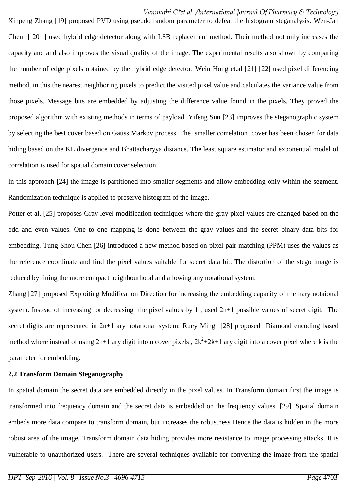#### *Vanmathi C\*et al. /International Journal Of Pharmacy & Technology*

Xinpeng Zhang [19] proposed PVD using pseudo random parameter to defeat the histogram steganalysis. Wen-Jan Chen [ 20 ] used hybrid edge detector along with LSB replacement method. Their method not only increases the capacity and and also improves the visual quality of the image. The experimental results also shown by comparing the number of edge pixels obtained by the hybrid edge detector. Wein Hong et.al [21] [22] used pixel differencing method, in this the nearest neighboring pixels to predict the visited pixel value and calculates the variance value from those pixels. Message bits are embedded by adjusting the difference value found in the pixels. They proved the proposed algorithm with existing methods in terms of payload. Yifeng Sun [23] improves the steganographic system by selecting the best cover based on Gauss Markov process. The smaller correlation cover has been chosen for data hiding based on the KL divergence and Bhattacharyya distance. The least square estimator and exponential model of correlation is used for spatial domain cover selection.

In this approach [24] the image is partitioned into smaller segments and allow embedding only within the segment. Randomization technique is applied to preserve histogram of the image.

Potter et al. [25] proposes Gray level modification techniques where the gray pixel values are changed based on the odd and even values. One to one mapping is done between the gray values and the secret binary data bits for embedding. Tung-Shou Chen [26] introduced a new method based on pixel pair matching (PPM) uses the values as the reference coordinate and find the pixel values suitable for secret data bit. The distortion of the stego image is reduced by fining the more compact neighbourhood and allowing any notational system.

Zhang [27] proposed Exploiting Modification Direction for increasing the embedding capacity of the nary notaional system. Instead of increasing or decreasing the pixel values by 1 , used 2n+1 possible values of secret digit. The secret digits are represented in 2n+1 ary notational system. Ruey Ming [28] proposed Diamond encoding based method where instead of using  $2n+1$  ary digit into n cover pixels,  $2k^2+2k+1$  ary digit into a cover pixel where k is the parameter for embedding.

#### **2.2 Transform Domain Steganography**

In spatial domain the secret data are embedded directly in the pixel values. In Transform domain first the image is transformed into frequency domain and the secret data is embedded on the frequency values. [29]. Spatial domain embeds more data compare to transform domain, but increases the robustness Hence the data is hidden in the more robust area of the image. Transform domain data hiding provides more resistance to image processing attacks. It is vulnerable to unauthorized users. There are several techniques available for converting the image from the spatial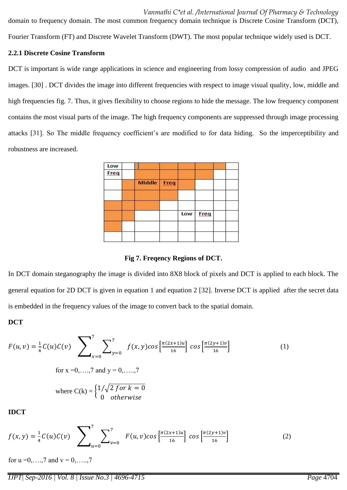*Vanmathi C\*et al. /International Journal Of Pharmacy & Technology* domain to frequency domain. The most common frequency domain technique is Discrete Cosine Transform (DCT), Fourier Transform (FT) and Discrete Wavelet Transform (DWT). The most popular technique widely used is DCT.

### **2.2.1 Discrete Cosine Transform**

DCT is important is wide range applications in science and engineering from lossy compression of audio and JPEG images. [30] . DCT divides the image into different frequencies with respect to image visual quality, low, middle and high frequencies fig. 7. Thus, it gives flexibility to choose regions to hide the message. The low frequency component contains the most visual parts of the image. The high frequency components are suppressed through image processing attacks [31]. So The middle frequency coefficient's are modified to for data hiding. So the imperceptibility and robustness are increased.

| Low         |               |      |     |      |  |
|-------------|---------------|------|-----|------|--|
| <b>Freq</b> |               |      |     |      |  |
|             | <b>Middle</b> | Freq |     |      |  |
|             |               |      | Low | Freq |  |
|             |               |      |     |      |  |

**Fig 7. Freqency Regions of DCT.**

In DCT domain steganography the image is divided into 8X8 block of pixels and DCT is applied to each block. The general equation for 2D DCT is given in equation 1 and equation 2 [32]. Inverse DCT is applied after the secret data is embedded in the frequency values of the image to convert back to the spatial domain.

## **DCT**

$$
F(u, v) = \frac{1}{4}C(u)C(v) \sum_{x=0}^{7} \sum_{y=0}^{7} f(x, y) \cos \left[\frac{\pi(2x+1)u}{16}\right] \cos \left[\frac{\pi(2y+1)v}{16}\right]
$$
\nfor x = 0, ..., 7 and y = 0, ..., 7  
\nwhere C(k) = 
$$
\begin{cases} \frac{1}{\sqrt{2} \text{ for } k = 0} \\ 0 \text{ otherwise} \end{cases}
$$

$$
f(x,y) = \frac{1}{4}C(u)C(v) \sum_{u=0}^{7} \sum_{v=0}^{7} F(u,v) \cos\left[\frac{\pi(2x+1)u}{16}\right] \cos\left[\frac{\pi(2y+1)v}{16}\right]
$$
 (2)

for  $u = 0, \ldots, 7$  and  $v = 0, \ldots, 7$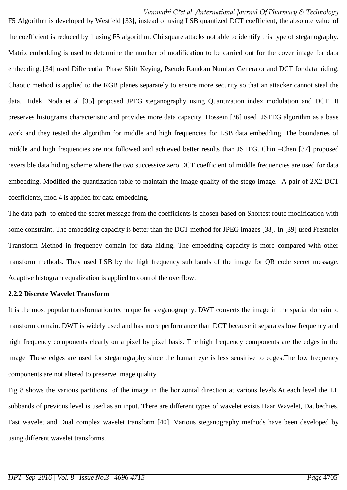*Vanmathi C\*et al. /International Journal Of Pharmacy & Technology*

F5 Algorithm is developed by Westfeld [33], instead of using LSB quantized DCT coefficient, the absolute value of the coefficient is reduced by 1 using F5 algorithm. Chi square attacks not able to identify this type of steganography. Matrix embedding is used to determine the number of modification to be carried out for the cover image for data embedding. [34] used Differential Phase Shift Keying, Pseudo Random Number Generator and DCT for data hiding. Chaotic method is applied to the RGB planes separately to ensure more security so that an attacker cannot steal the data. Hideki Noda et al [35] proposed JPEG steganography using Quantization index modulation and DCT. It preserves histograms characteristic and provides more data capacity. Hossein [36] used JSTEG algorithm as a base work and they tested the algorithm for middle and high frequencies for LSB data embedding. The boundaries of middle and high frequencies are not followed and achieved better results than JSTEG. Chin –Chen [37] proposed reversible data hiding scheme where the two successive zero DCT coefficient of middle frequencies are used for data embedding. Modified the quantization table to maintain the image quality of the stego image. A pair of 2X2 DCT coefficients, mod 4 is applied for data embedding.

The data path to embed the secret message from the coefficients is chosen based on Shortest route modification with some constraint. The embedding capacity is better than the DCT method for JPEG images [38]. In [39] used Fresnelet Transform Method in frequency domain for data hiding. The embedding capacity is more compared with other transform methods. They used LSB by the high frequency sub bands of the image for QR code secret message. Adaptive histogram equalization is applied to control the overflow.

#### **2.2.2 Discrete Wavelet Transform**

It is the most popular transformation technique for steganography. DWT converts the image in the spatial domain to transform domain. DWT is widely used and has more performance than DCT because it separates low frequency and high frequency components clearly on a pixel by pixel basis. The high frequency components are the edges in the image. These edges are used for steganography since the human eye is less sensitive to edges.The low frequency components are not altered to preserve image quality.

Fig 8 shows the various partitions of the image in the horizontal direction at various levels.At each level the LL subbands of previous level is used as an input. There are different types of wavelet exists Haar Wavelet, Daubechies, Fast wavelet and Dual complex wavelet transform [40]. Various steganography methods have been developed by using different wavelet transforms.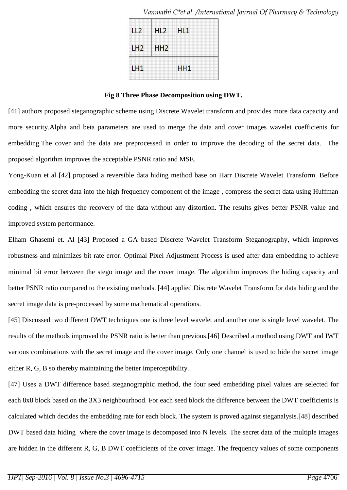|    | ш               | H11 |
|----|-----------------|-----|
| 2  | HH <sub>2</sub> |     |
| H1 |                 | HH1 |

 *Vanmathi C\*et al. /International Journal Of Pharmacy & Technology*

**Fig 8 Three Phase Decomposition using DWT.**

[41] authors proposed steganographic scheme using Discrete Wavelet transform and provides more data capacity and more security.Alpha and beta parameters are used to merge the data and cover images wavelet coefficients for embedding.The cover and the data are preprocessed in order to improve the decoding of the secret data. The proposed algorithm improves the acceptable PSNR ratio and MSE.

Yong-Kuan et al [42] proposed a reversible data hiding method base on Harr Discrete Wavelet Transform. Before embedding the secret data into the high frequency component of the image , compress the secret data using Huffman coding , which ensures the recovery of the data without any distortion. The results gives better PSNR value and improved system performance.

Elham Ghasemi et. Al [43] Proposed a GA based Discrete Wavelet Transform Steganography, which improves robustness and minimizes bit rate error. Optimal Pixel Adjustment Process is used after data embedding to achieve minimal bit error between the stego image and the cover image. The algorithm improves the hiding capacity and better PSNR ratio compared to the existing methods. [44] applied Discrete Wavelet Transform for data hiding and the secret image data is pre-processed by some mathematical operations.

[45] Discussed two different DWT techniques one is three level wavelet and another one is single level wavelet. The results of the methods improved the PSNR ratio is better than previous.[46] Described a method using DWT and IWT various combinations with the secret image and the cover image. Only one channel is used to hide the secret image either R, G, B so thereby maintaining the better imperceptibility.

[47] Uses a DWT difference based steganographic method, the four seed embedding pixel values are selected for each 8x8 block based on the 3X3 neighbourhood. For each seed block the difference between the DWT coefficients is calculated which decides the embedding rate for each block. The system is proved against steganalysis.[48] described DWT based data hiding where the cover image is decomposed into N levels. The secret data of the multiple images are hidden in the different R, G, B DWT coefficients of the cover image. The frequency values of some components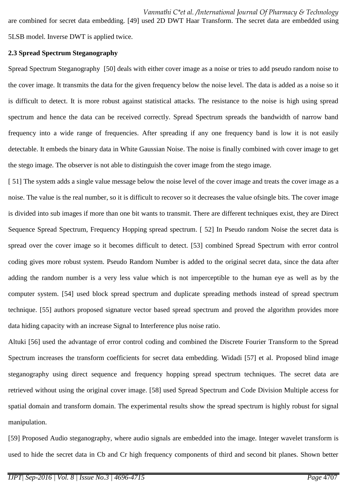are combined for secret data embedding. [49] used 2D DWT Haar Transform. The secret data are embedded using 5LSB model. Inverse DWT is applied twice.

### **2.3 Spread Spectrum Steganography**

Spread Spectrum Steganography [50] deals with either cover image as a noise or tries to add pseudo random noise to the cover image. It transmits the data for the given frequency below the noise level. The data is added as a noise so it is difficult to detect. It is more robust against statistical attacks. The resistance to the noise is high using spread spectrum and hence the data can be received correctly. Spread Spectrum spreads the bandwidth of narrow band frequency into a wide range of frequencies. After spreading if any one frequency band is low it is not easily detectable. It embeds the binary data in White Gaussian Noise. The noise is finally combined with cover image to get the stego image. The observer is not able to distinguish the cover image from the stego image.

[ 51] The system adds a single value message below the noise level of the cover image and treats the cover image as a noise. The value is the real number, so it is difficult to recover so it decreases the value ofsingle bits. The cover image is divided into sub images if more than one bit wants to transmit. There are different techniques exist, they are Direct Sequence Spread Spectrum, Frequency Hopping spread spectrum. [ 52] In Pseudo random Noise the secret data is spread over the cover image so it becomes difficult to detect. [53] combined Spread Spectrum with error control coding gives more robust system. Pseudo Random Number is added to the original secret data, since the data after adding the random number is a very less value which is not imperceptible to the human eye as well as by the computer system. [54] used block spread spectrum and duplicate spreading methods instead of spread spectrum technique. [55] authors proposed signature vector based spread spectrum and proved the algorithm provides more data hiding capacity with an increase Signal to Interference plus noise ratio.

Altuki [56] used the advantage of error control coding and combined the Discrete Fourier Transform to the Spread Spectrum increases the transform coefficients for secret data embedding. Widadi [57] et al. Proposed blind image steganography using direct sequence and frequency hopping spread spectrum techniques. The secret data are retrieved without using the original cover image. [58] used Spread Spectrum and Code Division Multiple access for spatial domain and transform domain. The experimental results show the spread spectrum is highly robust for signal manipulation.

[59] Proposed Audio steganography, where audio signals are embedded into the image. Integer wavelet transform is used to hide the secret data in Cb and Cr high frequency components of third and second bit planes. Shown better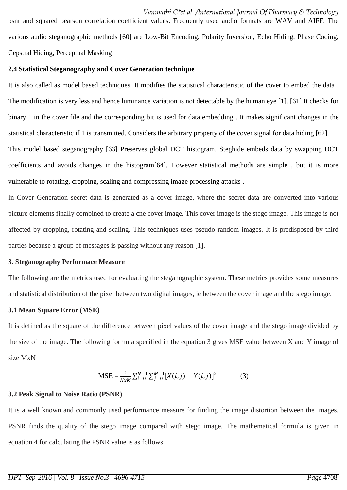psnr and squared pearson correlation coefficient values. Frequently used audio formats are WAV and AIFF. The various audio steganographic methods [60] are Low-Bit Encoding, Polarity Inversion, Echo Hiding, Phase Coding, Cepstral Hiding, Perceptual Masking

### **2.4 Statistical Steganography and Cover Generation technique**

It is also called as model based techniques. It modifies the statistical characteristic of the cover to embed the data . The modification is very less and hence luminance variation is not detectable by the human eye [1]. [61] It checks for binary 1 in the cover file and the corresponding bit is used for data embedding . It makes significant changes in the statistical characteristic if 1 is transmitted. Considers the arbitrary property of the cover signal for data hiding [62]. This model based steganography [63] Preserves global DCT histogram. Steghide embeds data by swapping DCT

coefficients and avoids changes in the histogram[64]. However statistical methods are simple , but it is more vulnerable to rotating, cropping, scaling and compressing image processing attacks .

In Cover Generation secret data is generated as a cover image, where the secret data are converted into various picture elements finally combined to create a cne cover image. This cover image is the stego image. This image is not affected by cropping, rotating and scaling. This techniques uses pseudo random images. It is predisposed by third parties because a group of messages is passing without any reason [1].

## **3. Steganography Performace Measure**

The following are the metrics used for evaluating the steganographic system. These metrics provides some measures and statistical distribution of the pixel between two digital images, ie between the cover image and the stego image.

## **3.1 Mean Square Error (MSE)**

It is defined as the square of the difference between pixel values of the cover image and the stego image divided by the size of the image. The following formula specified in the equation 3 gives MSE value between X and Y image of size MxN

$$
\text{MSE} = \frac{1}{N x M} \sum_{i=0}^{N-1} \sum_{j=0}^{M-1} [X(i, j) - Y(i, j)]^2
$$
(3)

## **3.2 Peak Signal to Noise Ratio (PSNR)**

It is a well known and commonly used performance measure for finding the image distortion between the images. PSNR finds the quality of the stego image compared with stego image. The mathematical formula is given in equation 4 for calculating the PSNR value is as follows.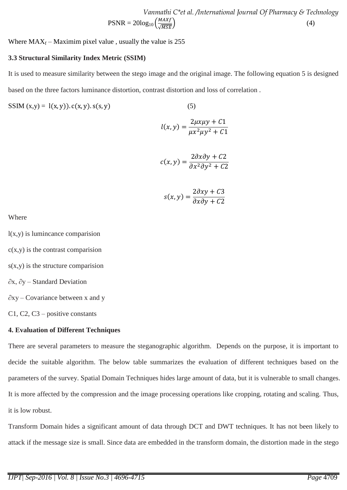*Vanmathi C\*et al. /International Journal Of Pharmacy & Technology*  $PSNR = 20log_{10}\left(\frac{M}{L}\right)$  $\sqrt{MSE}$  (4)

Where  $MAX_f - Maximum$  pixel value, usually the value is 255

#### **3.3 Structural Similarity Index Metric (SSIM)**

It is used to measure similarity between the stego image and the original image. The following equation 5 is designed based on the three factors luminance distortion, contrast distortion and loss of correlation .

$$
SSIM(x,y) = l(x,y)). c(x,y). s(s,y)
$$
 (5)

$$
l(x, y) = \frac{2\mu x \mu y + C1}{\mu x^2 \mu y^2 + C1}
$$

$$
c(x, y) = \frac{2\partial x \partial y + C2}{\partial x^2 \partial y^2 + C2}
$$

$$
s(x, y) = \frac{2\partial xy + C3}{\partial x \partial y + C2}
$$

Where

l(x,y) is lumincance comparision

 $c(x,y)$  is the contrast comparision

 $s(x,y)$  is the structure comparision

∂x, ∂y – Standard Deviation

∂xy – Covariance between x and y

C1, C2, C3 – positive constants

#### **4. Evaluation of Different Techniques**

There are several parameters to measure the steganographic algorithm. Depends on the purpose, it is important to decide the suitable algorithm. The below table summarizes the evaluation of different techniques based on the parameters of the survey. Spatial Domain Techniques hides large amount of data, but it is vulnerable to small changes. It is more affected by the compression and the image processing operations like cropping, rotating and scaling. Thus, it is low robust.

Transform Domain hides a significant amount of data through DCT and DWT techniques. It has not been likely to attack if the message size is small. Since data are embedded in the transform domain, the distortion made in the stego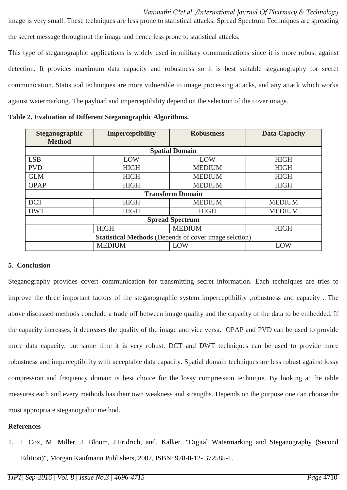image is very small. These techniques are less prone to statistical attacks. Spread Spectrum Techniques are spreading the secret message throughout the image and hence less prone to statistical attacks.

This type of steganographic applications is widely used in military communications since it is more robust against detection. It provides maximum data capacity and robustness so it is best suitable steganography for secret communication. Statistical techniques are more vulnerable to image processing attacks, and any attack which works against watermarking. The payload and imperceptibility depend on the selection of the cover image.

| <b>Steganographic</b><br><b>Method</b>                       | <b>Imperceptibility</b> | <b>Robustness</b> | <b>Data Capacity</b> |  |  |
|--------------------------------------------------------------|-------------------------|-------------------|----------------------|--|--|
| <b>Spatial Domain</b>                                        |                         |                   |                      |  |  |
| <b>LSB</b>                                                   | LOW                     | LOW               | <b>HIGH</b>          |  |  |
| <b>PVD</b>                                                   | <b>HIGH</b>             | <b>MEDIUM</b>     | <b>HIGH</b>          |  |  |
| <b>GLM</b>                                                   | <b>HIGH</b>             | <b>MEDIUM</b>     | <b>HIGH</b>          |  |  |
| <b>OPAP</b>                                                  | <b>HIGH</b>             | <b>MEDIUM</b>     | <b>HIGH</b>          |  |  |
| <b>Transform Domain</b>                                      |                         |                   |                      |  |  |
| <b>DCT</b>                                                   | <b>HIGH</b>             | <b>MEDIUM</b>     | <b>MEDIUM</b>        |  |  |
| <b>DWT</b>                                                   | <b>HIGH</b>             | <b>HIGH</b>       | <b>MEDIUM</b>        |  |  |
| <b>Spread Spectrum</b>                                       |                         |                   |                      |  |  |
|                                                              | <b>HIGH</b>             | <b>MEDIUM</b>     | <b>HIGH</b>          |  |  |
| <b>Statistical Methods</b> (Depends of cover image selction) |                         |                   |                      |  |  |
|                                                              | <b>MEDIUM</b>           | LOW               | LOW                  |  |  |

**Table 2. Evaluation of Different Steganographic Algorithms.**

## **5**. **Conclusion**

Steganography provides covert communication for transmitting secret information. Each techniques are tries to improve the three important factors of the steganographic system imperceptibility ,robustness and capacity . The above discussed methods conclude a trade off between image quality and the capacity of the data to be embedded. If the capacity increases, it decreases the quality of the image and vice versa. OPAP and PVD can be used to provide more data capacity, but same time it is very robust. DCT and DWT techniques can be used to provide more robustness and imperceptibility with acceptable data capacity. Spatial domain techniques are less robust against lossy compression and frequency domain is best choice for the lossy compression technique. By looking at the table measures each and every methods has their own weakness and strengths. Depends on the purpose one can choose the most appropriate steganograhic method.

## **References**

1. I. Cox, M. Miller, J. Bloom, J.Fridrich, and. Kalker. "Digital Watermarking and Steganography (Second Edition)", Morgan Kaufmann Publishers, 2007, ISBN: 978-0-12- 372585-1.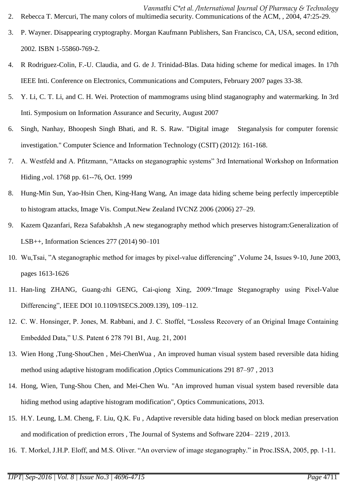- 3. P. Wayner. Disappearing cryptography. Morgan Kaufmann Publishers, San Francisco, CA, USA, second edition, 2002. ISBN 1-55860-769-2.
- 4. R Rodriguez-Colin, F.-U. Claudia, and G. de J. Trinidad-BIas. Data hiding scheme for medical images. In 17th IEEE Inti. Conference on Electronics, Communications and Computers, February 2007 pages 33-38.
- 5. Y. Li, C. T. Li, and C. H. Wei. Protection of mammograms using blind staganography and watermarking. In 3rd Inti. Symposium on Information Assurance and Security, August 2007
- 6. Singh, Nanhay, Bhoopesh Singh Bhati, and R. S. Raw. "Digital image Steganalysis for computer forensic investigation." Computer Science and Information Technology (CSIT) (2012): 161-168.
- 7. A. Westfeld and A. Pfitzmann, "Attacks on steganographic systems" 3rd International Workshop on Information Hiding ,vol. 1768 pp. 61--76, Oct. 1999
- 8. Hung-Min Sun, Yao-Hsin Chen, King-Hang Wang, An image data hiding scheme being perfectly imperceptible to histogram attacks, Image Vis. Comput.New Zealand IVCNZ 2006 (2006) 27–29.
- 9. Kazem Qazanfari, Reza Safabakhsh ,A new steganography method which preserves histogram:Generalization of LSB++, Information Sciences 277 (2014) 90–101
- 10. Wu,Tsai, "A steganographic method for images by pixel-value differencing" ,Volume 24, Issues 9-10, June 2003, pages 1613-1626
- 11. Han-ling ZHANG, Guang-zhi GENG, Cai-qiong Xing, 2009."Image Steganography using Pixel-Value Differencing", IEEE DOI 10.1109/ISECS.2009.139), 109–112.
- 12. C. W. Honsinger, P. Jones, M. Rabbani, and J. C. Stoffel, "Lossless Recovery of an Original Image Containing Embedded Data," U.S. Patent 6 278 791 B1, Aug. 21, 2001
- 13. Wien Hong ,Tung-ShouChen , Mei-ChenWua , An improved human visual system based reversible data hiding method using adaptive histogram modification ,Optics Communications 291 87–97 , 2013
- 14. Hong, Wien, Tung-Shou Chen, and Mei-Chen Wu. "An improved human visual system based reversible data hiding method using adaptive histogram modification", Optics Communications, 2013.
- 15. H.Y. Leung, L.M. Cheng, F. Liu, Q.K. Fu , Adaptive reversible data hiding based on block median preservation and modification of prediction errors , The Journal of Systems and Software 2204– 2219 , 2013.
- 16. T. Morkel, J.H.P. Eloff, and M.S. Oliver. "An overview of image steganography." in Proc.ISSA, 2005, pp. 1-11.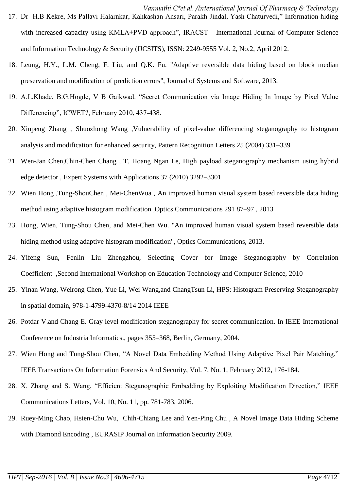- *Vanmathi C\*et al. /International Journal Of Pharmacy & Technology* 17. Dr H.B Kekre, Ms Pallavi Halarnkar, Kahkashan Ansari, Parakh Jindal, Yash Chaturvedi," Information hiding with increased capacity using KMLA+PVD approach", IRACST - International Journal of Computer Science and Information Technology & Security (IJCSITS), ISSN: 2249-9555 Vol. 2, No.2, April 2012.
- 18. Leung, H.Y., L.M. Cheng, F. Liu, and Q.K. Fu. "Adaptive reversible data hiding based on block median preservation and modification of prediction errors", Journal of Systems and Software, 2013.
- 19. A.L.Khade. B.G.Hogde, V B Gaikwad. "Secret Communication via Image Hiding In Image by Pixel Value Differencing", ICWET?, February 2010, 437-438.
- 20. Xinpeng Zhang , Shuozhong Wang ,Vulnerability of pixel-value differencing steganography to histogram analysis and modification for enhanced security, Pattern Recognition Letters 25 (2004) 331–339
- 21. Wen-Jan Chen,Chin-Chen Chang , T. Hoang Ngan Le, High payload steganography mechanism using hybrid edge detector , Expert Systems with Applications 37 (2010) 3292–3301
- 22. Wien Hong ,Tung-ShouChen , Mei-ChenWua , An improved human visual system based reversible data hiding method using adaptive histogram modification ,Optics Communications 291 87–97 , 2013
- 23. Hong, Wien, Tung-Shou Chen, and Mei-Chen Wu. "An improved human visual system based reversible data hiding method using adaptive histogram modification", Optics Communications, 2013.
- 24. Yifeng Sun, Fenlin Liu Zhengzhou, Selecting Cover for Image Steganography by Correlation Coefficient ,Second International Workshop on Education Technology and Computer Science, 2010
- 25. Yinan Wang, Weirong Chen, Yue Li, Wei Wang,and ChangTsun Li, HPS: Histogram Preserving Steganography in spatial domain, 978-1-4799-4370-8/14 2014 IEEE
- 26. Potdar V.and Chang E. Gray level modification steganography for secret communication. In IEEE International Conference on Industria Informatics., pages 355–368, Berlin, Germany, 2004.
- 27. Wien Hong and Tung-Shou Chen, "A Novel Data Embedding Method Using Adaptive Pixel Pair Matching." IEEE Transactions On Information Forensics And Security, Vol. 7, No. 1, February 2012, 176-184.
- 28. X. Zhang and S. Wang, "Efficient Steganographic Embedding by Exploiting Modification Direction," IEEE Communications Letters, Vol. 10, No. 11, pp. 781-783, 2006.
- 29. Ruey-Ming Chao, Hsien-Chu Wu, Chih-Chiang Lee and Yen-Ping Chu , A Novel Image Data Hiding Scheme with Diamond Encoding , EURASIP Journal on Information Security 2009.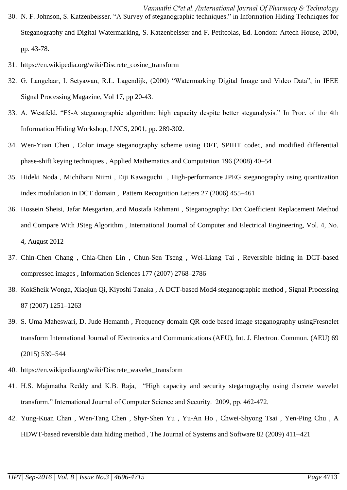- *Vanmathi C\*et al. /International Journal Of Pharmacy & Technology* 30. N. F. Johnson, S. Katzenbeisser. "A Survey of steganographic techniques." in Information Hiding Techniques for Steganography and Digital Watermarking, S. Katzenbeisser and F. Petitcolas, Ed. London: Artech House, 2000, pp. 43-78.
- 31. https://en.wikipedia.org/wiki/Discrete\_cosine\_transform
- 32. G. Langelaar, I. Setyawan, R.L. Lagendijk, (2000) "Watermarking Digital Image and Video Data", in IEEE Signal Processing Magazine, Vol 17, pp 20-43.
- 33. A. Westfeld. "F5-A steganographic algorithm: high capacity despite better steganalysis." In Proc. of the 4th Information Hiding Workshop, LNCS, 2001, pp. 289-302.
- 34. Wen-Yuan Chen , Color image steganography scheme using DFT, SPIHT codec, and modified differential phase-shift keying techniques , Applied Mathematics and Computation 196 (2008) 40–54
- 35. Hideki Noda , Michiharu Niimi , Eiji Kawaguchi , High-performance JPEG steganography using quantization index modulation in DCT domain , Pattern Recognition Letters 27 (2006) 455–461
- 36. Hossein Sheisi, Jafar Mesgarian, and Mostafa Rahmani , Steganography: Dct Coefficient Replacement Method and Compare With JSteg Algorithm , International Journal of Computer and Electrical Engineering, Vol. 4, No. 4, August 2012
- 37. Chin-Chen Chang , Chia-Chen Lin , Chun-Sen Tseng , Wei-Liang Tai , Reversible hiding in DCT-based compressed images , Information Sciences 177 (2007) 2768–2786
- 38. KokSheik Wonga, Xiaojun Qi, Kiyoshi Tanaka , A DCT-based Mod4 steganographic method , Signal Processing 87 (2007) 1251–1263
- 39. S. Uma Maheswari, D. Jude Hemanth , Frequency domain QR code based image steganography usingFresnelet transform International Journal of Electronics and Communications (AEU), Int. J. Electron. Commun. (AEU) 69 (2015) 539–544
- 40. https://en.wikipedia.org/wiki/Discrete\_wavelet\_transform
- 41. H.S. Majunatha Reddy and K.B. Raja, "High capacity and security steganography using discrete wavelet transform." International Journal of Computer Science and Security. 2009, pp. 462-472.
- 42. Yung-Kuan Chan , Wen-Tang Chen , Shyr-Shen Yu , Yu-An Ho , Chwei-Shyong Tsai , Yen-Ping Chu , A HDWT-based reversible data hiding method , The Journal of Systems and Software 82 (2009) 411–421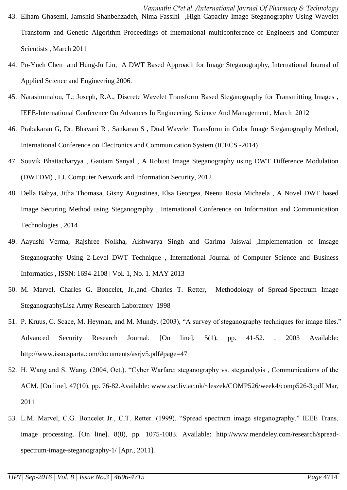- *Vanmathi C\*et al. /International Journal Of Pharmacy & Technology* 43. Elham Ghasemi, Jamshid Shanbehzadeh, Nima Fassihi ,High Capacity Image Steganography Using Wavelet Transform and Genetic Algorithm Proceedings of international multiconference of Engineers and Computer Scientists , March 2011
- 44. Po-Yueh Chen and Hung-Ju Lin, A DWT Based Approach for Image Steganography, International Journal of Applied Science and Engineering 2006.
- 45. Narasimmalou, T.; Joseph, R.A., Discrete Wavelet Transform Based Steganography for Transmitting Images , IEEE-International Conference On Advances In Engineering, Science And Management , March 2012
- 46. Prabakaran G, Dr. Bhavani R , Sankaran S , Dual Wavelet Transform in Color Image Steganography Method, International Conference on Electronics and Communication System (ICECS -2014)
- 47. Souvik Bhattacharyya , Gautam Sanyal , A Robust Image Steganography using DWT Difference Modulation (DWTDM) , I.J. Computer Network and Information Security, 2012
- 48. Della Babya, Jitha Thomasa, Gisny Augustinea, Elsa Georgea, Neenu Rosia Michaela , A Novel DWT based Image Securing Method using Steganography , International Conference on Information and Communication Technologies , 2014
- 49. Aayushi Verma, Rajshree Nolkha, Aishwarya Singh and Garima Jaiswal ,Implementation of Imsage Steganography Using 2-Level DWT Technique , International Journal of Computer Science and Business Informatics , ISSN: 1694-2108 | Vol. 1, No. 1. MAY 2013
- 50. M. Marvel, Charles G. Boncelet, Jr.,and Charles T. Retter, Methodology of Spread-Spectrum Image SteganographyLisa Army Research Laboratory 1998
- 51. P. Kruus, C. Scace, M. Heyman, and M. Mundy. (2003), "A survey of steganography techniques for image files." Advanced Security Research Journal. [On line], 5(1), pp. 41-52. , 2003 Available: http://www.isso.sparta.com/documents/asrjv5.pdf#page=47
- 52. H. Wang and S. Wang. (2004, Oct.). "Cyber Warfare: steganography vs. steganalysis , Communications of the ACM. [On line]. 47(10), pp. 76-82.Available: www.csc.liv.ac.uk/~leszek/COMP526/week4/comp526-3.pdf Mar, 2011
- 53. L.M. Marvel, C.G. Boncelet Jr., C.T. Retter. (1999). "Spread spectrum image steganography." IEEE Trans. image processing. [On line]. 8(8), pp. 1075-1083. Available: http://www.mendeley.com/research/spreadspectrum-image-steganography-1/ [Apr., 2011].